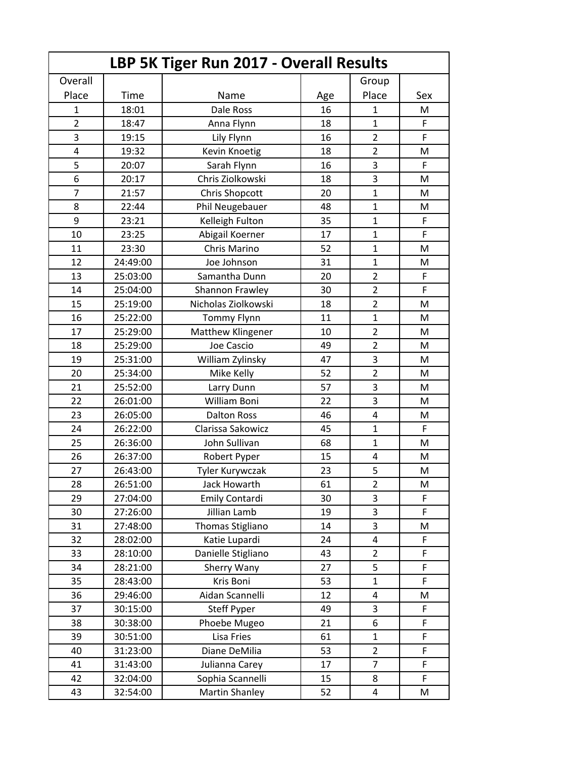| LBP 5K Tiger Run 2017 - Overall Results |          |                       |     |                |             |  |  |
|-----------------------------------------|----------|-----------------------|-----|----------------|-------------|--|--|
| Overall                                 |          |                       |     | Group          |             |  |  |
| Place                                   | Time     | Name                  | Age | Place          | Sex         |  |  |
| 1                                       | 18:01    | Dale Ross             | 16  | 1              | М           |  |  |
| $\overline{2}$                          | 18:47    | Anna Flynn            | 18  | $\mathbf{1}$   | F           |  |  |
| 3                                       | 19:15    | Lily Flynn            | 16  | $\overline{2}$ | F           |  |  |
| 4                                       | 19:32    | Kevin Knoetig         | 18  | $\overline{2}$ | M           |  |  |
| 5                                       | 20:07    | Sarah Flynn           | 16  | 3              | F           |  |  |
| 6                                       | 20:17    | Chris Ziolkowski      | 18  | 3              | M           |  |  |
| $\overline{7}$                          | 21:57    | <b>Chris Shopcott</b> | 20  | $\mathbf{1}$   | M           |  |  |
| 8                                       | 22:44    | Phil Neugebauer       | 48  | $\mathbf{1}$   | м           |  |  |
| 9                                       | 23:21    | Kelleigh Fulton       | 35  | $\mathbf{1}$   | $\mathsf F$ |  |  |
| 10                                      | 23:25    | Abigail Koerner       | 17  | $\mathbf{1}$   | F           |  |  |
| 11                                      | 23:30    | Chris Marino          | 52  | $\mathbf{1}$   | M           |  |  |
| 12                                      | 24:49:00 | Joe Johnson           | 31  | $\mathbf{1}$   | M           |  |  |
| 13                                      | 25:03:00 | Samantha Dunn         | 20  | $\overline{2}$ | F           |  |  |
| 14                                      | 25:04:00 | Shannon Frawley       | 30  | $\overline{2}$ | F           |  |  |
| 15                                      | 25:19:00 | Nicholas Ziolkowski   | 18  | $\overline{2}$ | M           |  |  |
| 16                                      | 25:22:00 | Tommy Flynn           | 11  | $\mathbf{1}$   | M           |  |  |
| 17                                      | 25:29:00 | Matthew Klingener     | 10  | $\overline{2}$ | M           |  |  |
| 18                                      | 25:29:00 | Joe Cascio            | 49  | $\overline{2}$ | M           |  |  |
| 19                                      | 25:31:00 | William Zylinsky      | 47  | 3              | M           |  |  |
| 20                                      | 25:34:00 | Mike Kelly            | 52  | $\overline{2}$ | M           |  |  |
| 21                                      | 25:52:00 | Larry Dunn            | 57  | 3              | M           |  |  |
| 22                                      | 26:01:00 | William Boni          | 22  | 3              | M           |  |  |
| 23                                      | 26:05:00 | <b>Dalton Ross</b>    | 46  | 4              | M           |  |  |
| 24                                      | 26:22:00 | Clarissa Sakowicz     | 45  | $\mathbf{1}$   | F           |  |  |
| 25                                      | 26:36:00 | John Sullivan         | 68  | $\mathbf{1}$   | M           |  |  |
| 26                                      | 26:37:00 | Robert Pyper          | 15  | $\overline{4}$ | M           |  |  |
| 27                                      | 26:43:00 | Tyler Kurywczak       | 23  | 5              | M           |  |  |
| 28                                      | 26:51:00 | Jack Howarth          | 61  | $\overline{c}$ | M           |  |  |
| 29                                      | 27:04:00 | Emily Contardi        | 30  | 3              | F           |  |  |
| 30                                      | 27:26:00 | Jillian Lamb          | 19  | 3              | F           |  |  |
| 31                                      | 27:48:00 | Thomas Stigliano      | 14  | 3              | M           |  |  |
| 32                                      | 28:02:00 | Katie Lupardi         | 24  | 4              | F           |  |  |
| 33                                      | 28:10:00 | Danielle Stigliano    | 43  | $\overline{2}$ | F           |  |  |
| 34                                      | 28:21:00 | Sherry Wany           | 27  | 5              | F           |  |  |
| 35                                      | 28:43:00 | Kris Boni             | 53  | $\mathbf{1}$   | F           |  |  |
| 36                                      | 29:46:00 | Aidan Scannelli       | 12  | $\overline{4}$ | M           |  |  |
| 37                                      | 30:15:00 | <b>Steff Pyper</b>    | 49  | 3              | F           |  |  |
| 38                                      | 30:38:00 | Phoebe Mugeo          | 21  | 6              | F           |  |  |
| 39                                      | 30:51:00 | Lisa Fries            | 61  | $\mathbf{1}$   | F           |  |  |
| 40                                      | 31:23:00 | Diane DeMilia         | 53  | $\overline{2}$ | F           |  |  |
| 41                                      | 31:43:00 | Julianna Carey        | 17  | $\overline{7}$ | F           |  |  |
| 42                                      | 32:04:00 | Sophia Scannelli      | 15  | 8              | F           |  |  |
| 43                                      | 32:54:00 | <b>Martin Shanley</b> | 52  | 4              | M           |  |  |